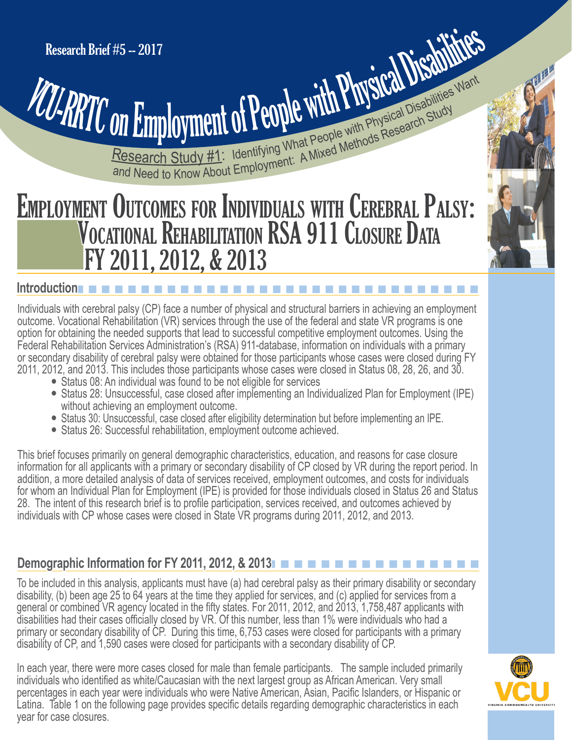# Research Study #1: Identifying What People with Physical Disabilities Want **CONTRATT On Employment of People With Physical Disabilities Want**

# EMPLOYMENT OUTCOMES FOR INDIVIDUALS WITH CEREBRAL PALSY: VOCATIONAL REHABILITATION RSA 911 CLOSURE DATA FY 2011, 2012, & 2013

#### **Introduction**n n n n n n n n n n n n n n n n n n n n n n n n n n n n n n n

Individuals with cerebral palsy (CP) face a number of physical and structural barriers in achieving an employment outcome. Vocational Rehabilitation (VR) services through the use of the federal and state VR programs is one option for obtaining the needed supports that lead to successful competitive employment outcomes. Using the Federal Rehabilitation Services Administration's (RSA) 911-database, information on individuals with a primary or secondary disability of cerebral palsy were obtained for those participants whose cases were closed during FY 2011, 2012, and 2013. This includes those participants whose cases were closed in Status 08, 28, 26, and 30.

- Status 08: An individual was found to be not eligible for services
- Status 28: Unsuccessful, case closed after implementing an Individualized Plan for Employment (IPE) without achieving an employment outcome.
- Status 30: Unsuccessful, case closed after eligibility determination but before implementing an IPE.
- Status 26: Successful rehabilitation, employment outcome achieved.

This brief focuses primarily on general demographic characteristics, education, and reasons for case closure information for all applicants with a primary or secondary disability of CP closed by VR during the report period. In addition, a more detailed analysis of data of services received, employment outcomes, and costs for individuals for whom an Individual Plan for Employment (IPE) is provided for those individuals closed in Status 26 and Status 28. The intent of this research brief is to profile participation, services received, and outcomes achieved by individuals with CP whose cases were closed in State VR programs during 2011, 2012, and 2013.

#### **Demographic Information for FY 2011, 2012, & 2013** n n n n n n n n n n n n n n n n

To be included in this analysis, applicants must have (a) had cerebral palsy as their primary disability or secondary disability, (b) been age 25 to 64 years at the time they applied for services, and (c) applied for services from a general or combined VR agency located in the fifty states. For 2011, 2012, and 2013, 1,758,487 applicants with disabilities had their cases officially closed by VR. Of this number, less than 1% were individuals who had a primary or secondary disability of CP. During this time, 6,753 cases were closed for participants with a primary disability of CP, and 1,590 cases were closed for participants with a secondary disability of CP.

In each year, there were more cases closed for male than female participants. The sample included primarily individuals who identified as white/Caucasian with the next largest group as African American. Very small percentages in each year were individuals who were Native American, Asian, Pacific Islanders, or Hispanic or Latina. Table 1 on the following page provides specific details regarding demographic characteristics in each year for case closures.

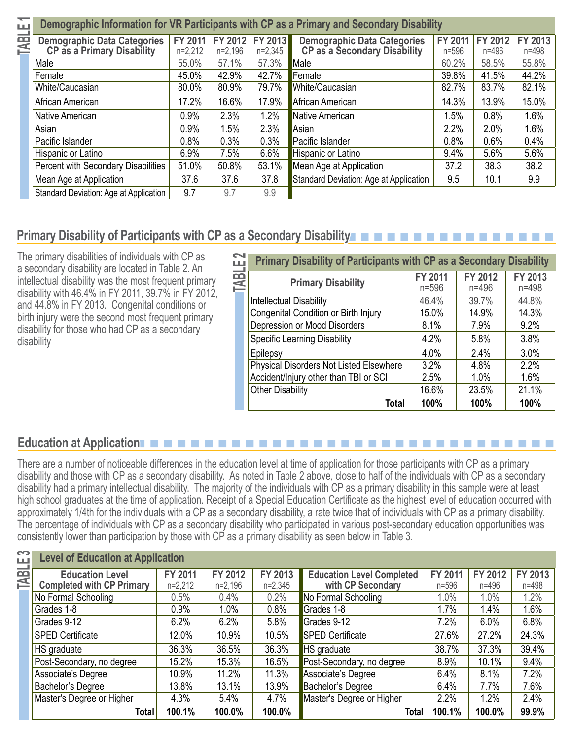|  |  | Demographic Information for VR Participants with CP as a Primary and Secondary Disability                                                                                                        |  |  |
|--|--|--------------------------------------------------------------------------------------------------------------------------------------------------------------------------------------------------|--|--|
|  |  | Demographic Data Categories FY 2011 FY 2012 FY 2013 Demographic Data Categories FY 2011 FY 2012 F<br>CP as a Primary Disability n=2.212 n=2.196 n=2.345 CP as a Secondary Disability n=596 n=496 |  |  |

| <b>Demographic Data Categories<br/>CP as a Primary Disability</b> | FY 2011<br>$n=2,212$ | FY 2012<br>$n=2,196$ | FY 2013<br>$n=2,345$ | <b>Demographic Data Categories<br/>CP as a Secondary Disability</b> | <b>FY 2011</b><br>$n = 596$ | FY 2012<br>$n = 496$ | FY 2013<br>$n = 498$ |
|-------------------------------------------------------------------|----------------------|----------------------|----------------------|---------------------------------------------------------------------|-----------------------------|----------------------|----------------------|
| Male                                                              | 55.0%                | 57.1%                | 57.3%                | Male                                                                | 60.2%                       | 58.5%                | 55.8%                |
| Female                                                            | 45.0%                | 42.9%                | 42.7%                | Female                                                              | 39.8%                       | 41.5%                | 44.2%                |
| White/Caucasian                                                   | 80.0%                | 80.9%                | 79.7%                | White/Caucasian                                                     | 82.7%                       | 83.7%                | 82.1%                |
| African American                                                  | 17.2%                | 16.6%                | 17.9%                | African American                                                    | 14.3%                       | 13.9%                | 15.0%                |
| Native American                                                   | 0.9%                 | 2.3%                 | 1.2%                 | Native American                                                     | 1.5%                        | 0.8%                 | 1.6%                 |
| Asian                                                             | 0.9%                 | 1.5%                 | 2.3%                 | Asian                                                               | 2.2%                        | 2.0%                 | 1.6%                 |
| Pacific Islander                                                  | 0.8%                 | 0.3%                 | 0.3%                 | Pacific Islander                                                    | 0.8%                        | 0.6%                 | 0.4%                 |
| Hispanic or Latino                                                | 6.9%                 | 7.5%                 | 6.6%                 | Hispanic or Latino                                                  | 9.4%                        | 5.6%                 | 5.6%                 |
| <b>Percent with Secondary Disabilities</b>                        | 51.0%                | 50.8%                | 53.1%                | Mean Age at Application                                             | 37.2                        | 38.3                 | 38.2                 |
| Mean Age at Application                                           | 37.6                 | 37.6                 | 37.8                 | Standard Deviation: Age at Application                              | 9.5                         | 10.1                 | 9.9                  |
| Standard Deviation: Age at Application                            | 9.7                  | 9.7                  | 9.9                  |                                                                     |                             |                      |                      |

## **Primary Disability of Participants with CP as a Secondary Disability**n n n n n n n n n n n n n n n n

The primary disabilities of individuals with CP as a secondary disability are located in Table 2. An intellectual disability was the most frequent primary disability with 46.4% in FY 2011, 39.7% in FY 2012, and 44.8% in FY 2013. Congenital conditions or birth injury were the second most frequent primary disability for those who had CP as a secondary disability

|                    | <b>Primary Disability of Participants with CP as a Secondary Disability</b> |                             |                      |                      |
|--------------------|-----------------------------------------------------------------------------|-----------------------------|----------------------|----------------------|
| TABLE <sub>2</sub> | <b>Primary Disability</b>                                                   | <b>FY 2011</b><br>$n = 596$ | FY 2012<br>$n = 496$ | FY 2013<br>$n = 498$ |
|                    | Intellectual Disability                                                     | 46.4%                       | 39.7%                | 44.8%                |
|                    | Congenital Condition or Birth Injury                                        | 15.0%                       | 14.9%                | 14.3%                |
|                    | Depression or Mood Disorders                                                | 8.1%                        | 7.9%                 | 9.2%                 |
|                    | <b>Specific Learning Disability</b>                                         | 4.2%                        | 5.8%                 | 3.8%                 |
|                    | Epilepsy                                                                    | 4.0%                        | 2.4%                 | 3.0%                 |
|                    | <b>Physical Disorders Not Listed Elsewhere</b>                              | 3.2%                        | 4.8%                 | 2.2%                 |
|                    | Accident/Injury other than TBI or SCI                                       | 2.5%                        | 1.0%                 | 1.6%                 |
|                    | <b>Other Disability</b>                                                     | 16.6%                       | 23.5%                | 21.1%                |
|                    | Total                                                                       | 100%                        | 100%                 | 100%                 |

## **Education at Application**n n n n n n n n n n n n n n n n n n n n n n n n n n n n n n n

There are a number of noticeable differences in the education level at time of application for those participants with CP as a primary disability and those with CP as a secondary disability. As noted in Table 2 above, close to half of the individuals with CP as a secondary disability had a primary intellectual disability. The majority of the individuals with CP as a primary disability in this sample were at least high school graduates at the time of application. Receipt of a Special Education Certificate as the highest level of education occurred with approximately 1/4th for the individuals with a CP as a secondary disability, a rate twice that of individuals with CP as a primary disability. The percentage of individuals with CP as a secondary disability who participated in various post-secondary education opportunities was consistently lower than participation by those with CP as a primary disability as seen below in Table 3.

| S<br>ш | <b>Level of Education at Application</b>                   |                             |                      |                      |                                                       |                             |                             |                      |
|--------|------------------------------------------------------------|-----------------------------|----------------------|----------------------|-------------------------------------------------------|-----------------------------|-----------------------------|----------------------|
| 臣      | <b>Education Level</b><br><b>Completed with CP Primary</b> | <b>FY 2011</b><br>$n=2,212$ | FY 2012<br>$n=2,196$ | FY 2013<br>$n=2,345$ | <b>Education Level Completed</b><br>with CP Secondary | <b>FY 2011</b><br>$n = 596$ | <b>FY 2012</b><br>$n = 496$ | FY 2013<br>$n = 498$ |
|        | No Formal Schooling                                        | 0.5%                        | 0.4%                 | 0.2%                 | No Formal Schooling                                   | 1.0%                        | 1.0%                        | 1.2%                 |
|        | Grades 1-8                                                 | 0.9%                        | 1.0%                 | 0.8%                 | Grades 1-8                                            | 1.7%                        | 1.4%                        | 1.6%                 |
|        | Grades 9-12                                                | 6.2%                        | 6.2%                 | 5.8%                 | Grades 9-12                                           | 7.2%                        | 6.0%                        | 6.8%                 |
|        | <b>SPED Certificate</b>                                    | 12.0%                       | 10.9%                | 10.5%                | <b>SPED Certificate</b>                               | 27.6%                       | 27.2%                       | 24.3%                |
|        | HS graduate                                                | 36.3%                       | 36.5%                | 36.3%                | HS graduate                                           | 38.7%                       | 37.3%                       | 39.4%                |
|        | Post-Secondary, no degree                                  | 15.2%                       | 15.3%                | 16.5%                | Post-Secondary, no degree                             | 8.9%                        | 10.1%                       | 9.4%                 |
|        | Associate's Degree                                         | 10.9%                       | 11.2%                | 11.3%                | Associate's Degree                                    | 6.4%                        | 8.1%                        | 7.2%                 |
|        | Bachelor's Degree                                          | 13.8%                       | 13.1%                | 13.9%                | Bachelor's Degree                                     | 6.4%                        | 7.7%                        | 7.6%                 |
|        | Master's Degree or Higher                                  | 4.3%                        | 5.4%                 | 4.7%                 | Master's Degree or Higher                             | 2.2%                        | 1.2%                        | 2.4%                 |
|        | Total                                                      | 100.1%                      | 100.0%               | 100.0%               | Total                                                 | 100.1%                      | 100.0%                      | 99.9%                |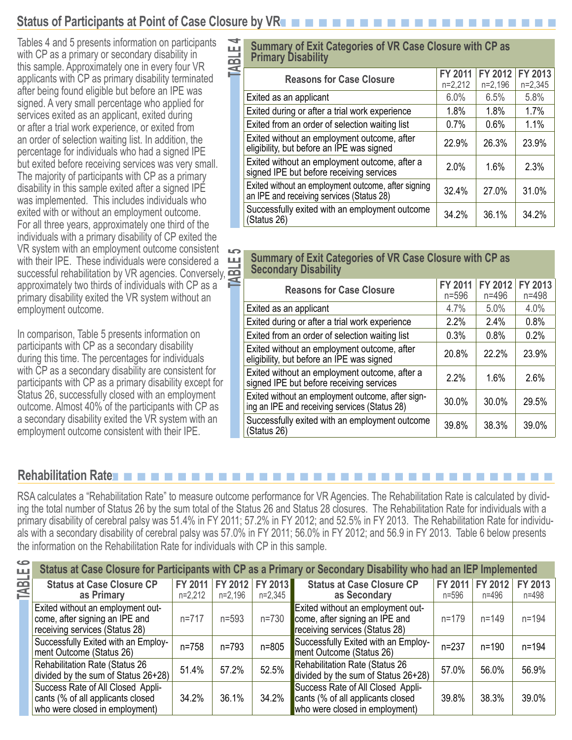## **Status of Participants at Point of Case Closure by VR**n n n n n n n n n n n n n n n n n n n n n

Tables 4 and 5 presents information on participants with CP as a primary or secondary disability in this sample. Approximately one in every four VR applicants with CP as primary disability terminated after being found eligible but before an IPE was signed. A very small percentage who applied for services exited as an applicant, exited during or after a trial work experience, or exited from an order of selection waiting list. In addition, the percentage for individuals who had a signed IPE but exited before receiving services was very small. The majority of participants with CP as a primary disability in this sample exited after a signed IPE was implemented. This includes individuals who exited with or without an employment outcome. For all three years, approximately one third of the individuals with a primary disability of CP exited the VR system with an employment outcome consistent with their IPE. These individuals were considered a successful rehabilitation by VR agencies. Conversely, approximately two thirds of individuals with CP as a primary disability exited the VR system without an employment outcome.

In comparison, Table 5 presents information on participants with CP as a secondary disability during this time. The percentages for individuals with CP as a secondary disability are consistent for participants with CP as a primary disability except for Status 26, successfully closed with an employment outcome. Almost 40% of the participants with CP as a secondary disability exited the VR system with an employment outcome consistent with their IPE.

# **TABLE 12 Summary of Exit Categories of VR Case Closure with CP as<br>
Primary Disability<br>
<b>TABLE 12012 12012 Primary Disability**

| <b>Reasons for Case Closure</b>                                                                  | <b>FY 2011</b><br>$n=2,212$ | FY 2012<br>$n=2,196$ | FY 2013<br>$n=2,345$ |
|--------------------------------------------------------------------------------------------------|-----------------------------|----------------------|----------------------|
| Exited as an applicant                                                                           | 6.0%                        | 6.5%                 | 5.8%                 |
| Exited during or after a trial work experience                                                   | 1.8%                        | 1.8%                 | 1.7%                 |
| Exited from an order of selection waiting list                                                   | $0.7\%$                     | 0.6%                 | 1.1%                 |
| Exited without an employment outcome, after<br>eligibility, but before an IPE was signed         | 22.9%                       | 26.3%                | 23.9%                |
| Exited without an employment outcome, after a<br>signed IPE but before receiving services        | 2.0%                        | 1.6%                 | 2.3%                 |
| Exited without an employment outcome, after signing<br>an IPE and receiving services (Status 28) | 32.4%                       | 27.0%                | 31.0%                |
| Successfully exited with an employment outcome<br>(Status 26)                                    | 34.2%                       | 36.1%                | 34.2%                |
|                                                                                                  |                             |                      |                      |

# **TABLE 7** Summary of Exit Categories of VR Case Closure with CP as<br> **Secondary Disability**<br> **TABLE 1990 AND REV 2011 FY 2012 Secondary Disability**

| <b>Reasons for Case Closure</b>                                                                    | <b>FY 2011</b><br>$n = 596$ | FY 2012<br>$n = 496$ | FY 2013<br>$n = 498$ |
|----------------------------------------------------------------------------------------------------|-----------------------------|----------------------|----------------------|
| Exited as an applicant                                                                             | 4.7%                        | 5.0%                 | 4.0%                 |
| Exited during or after a trial work experience                                                     | 2.2%                        | 2.4%                 | 0.8%                 |
| Exited from an order of selection waiting list                                                     | 0.3%                        | 0.8%                 | 0.2%                 |
| Exited without an employment outcome, after<br>eligibility, but before an IPE was signed           | 20.8%                       | 22.2%                | 23.9%                |
| Exited without an employment outcome, after a<br>signed IPE but before receiving services          | 2.2%                        | 1.6%                 | 2.6%                 |
| Exited without an employment outcome, after sign-<br>ing an IPE and receiving services (Status 28) | 30.0%                       | 30.0%                | 29.5%                |
| Successfully exited with an employment outcome<br>(Status 26)                                      | 39.8%                       | 38.3%                | 39.0%                |

#### **Rehabilitation Rate**

RSA calculates a "Rehabilitation Rate" to measure outcome performance for VR Agencies. The Rehabilitation Rate is calculated by dividing the total number of Status 26 by the sum total of the Status 26 and Status 28 closures. The Rehabilitation Rate for individuals with a primary disability of cerebral palsy was 51.4% in FY 2011; 57.2% in FY 2012; and 52.5% in FY 2013. The Rehabilitation Rate for individuals with a secondary disability of cerebral palsy was 57.0% in FY 2011; 56.0% in FY 2012; and 56.9 in FY 2013. Table 6 below presents the information on the Rehabilitation Rate for individuals with CP in this sample.

|         |                                                                                                          |                      |                      |                      | Status at Case Closure for Participants with CP as a Primary or Secondary Disability who had an IEP Implemented |                  |                  |                  |
|---------|----------------------------------------------------------------------------------------------------------|----------------------|----------------------|----------------------|-----------------------------------------------------------------------------------------------------------------|------------------|------------------|------------------|
| TABLE 6 | <b>Status at Case Closure CP</b><br>as Primary                                                           | FY 2011<br>$n=2,212$ | FY 2012<br>$n=2,196$ | FY 2013<br>$n=2,345$ | <b>Status at Case Closure CP</b><br>as Secondary                                                                | FY 2011<br>n=596 | FY 2012<br>n=496 | FY 2013<br>n=498 |
|         | Exited without an employment out-<br>come, after signing an IPE and<br>receiving services (Status 28)    | $n = 717$            | $n = 593$            | $n = 730$            | Exited without an employment out-<br>come, after signing an IPE and<br>receiving services (Status 28)           | $n = 179$        | $n = 149$        | $n = 194$        |
|         | Successfully Exited with an Employ-<br>ment Outcome (Status 26)                                          | n=758                | $n = 793$            | $n = 805$            | Successfully Exited with an Employ-<br>ment Outcome (Status 26)                                                 | $n = 237$        | $n = 190$        | $n = 194$        |
|         | <b>Rehabilitation Rate (Status 26)</b><br>divided by the sum of Status 26+28)                            | 51.4%                | 57.2%                | 52.5%                | <b>Rehabilitation Rate (Status 26</b><br>divided by the sum of Status $26+28$ )                                 | 57.0%            | 56.0%            | 56.9%            |
|         | Success Rate of All Closed Appli-<br>cants (% of all applicants closed<br>who were closed in employment) | 34.2%                | 36.1%                | 34.2%                | Success Rate of All Closed Appli-<br>cants (% of all applicants closed<br>who were closed in employment)        | 39.8%            | 38.3%            | 39.0%            |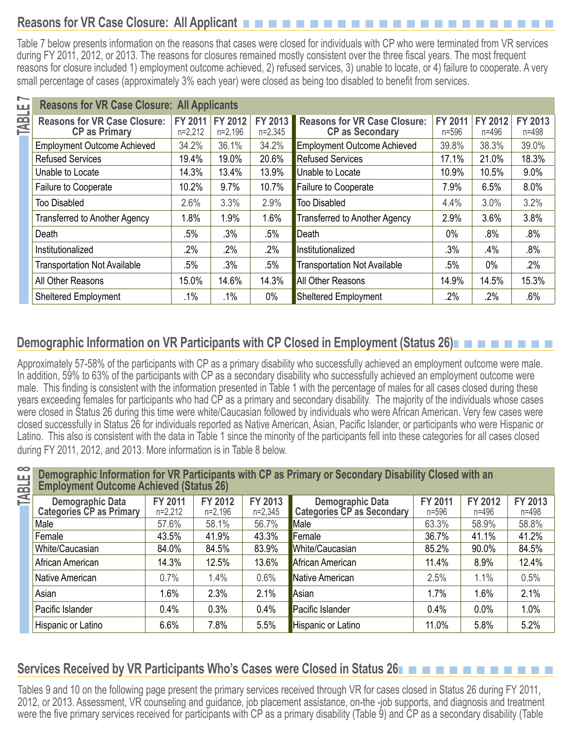# **Reasons for VR Case Closure: All Applicants**n n n n n n n n n n n n n n n n n n n n n n n

Table 7 below presents information on the reasons that cases were closed for individuals with CP who were terminated from VR services during FY 2011, 2012, or 2013. The reasons for closures remained mostly consistent over the three fiscal years. The most frequent reasons for closure included 1) employment outcome achieved, 2) refused services, 3) unable to locate, or 4) failure to cooperate. A very small percentage of cases (approximately 3% each year) were closed as being too disabled to benefit from services.

| щ           | <b>Reasons for VR Case Closure: All Applicants</b> |                |           |           |                                      |           |           |           |
|-------------|----------------------------------------------------|----------------|-----------|-----------|--------------------------------------|-----------|-----------|-----------|
| <b>TABL</b> | <b>Reasons for VR Case Closure:</b>                | <b>FY 2011</b> | FY 2012   | FY 2013   | <b>Reasons for VR Case Closure:</b>  | FY 2011   | FY 2012   | FY 2013   |
|             | <b>CP as Primary</b>                               | $n=2,212$      | $n=2,196$ | $n=2,345$ | <b>CP as Secondary</b>               | $n = 596$ | $n = 496$ | $n = 498$ |
|             | <b>Employment Outcome Achieved</b>                 | 34.2%          | 36.1%     | 34.2%     | <b>Employment Outcome Achieved</b>   | 39.8%     | 38.3%     | 39.0%     |
|             | <b>Refused Services</b>                            | 19.4%          | 19.0%     | 20.6%     | <b>Refused Services</b>              | 17.1%     | 21.0%     | 18.3%     |
|             | Unable to Locate                                   | 14.3%          | 13.4%     | 13.9%     | Unable to Locate                     | 10.9%     | 10.5%     | 9.0%      |
|             | <b>Failure to Cooperate</b>                        | 10.2%          | 9.7%      | 10.7%     | <b>Failure to Cooperate</b>          | 7.9%      | 6.5%      | 8.0%      |
|             | <b>Too Disabled</b>                                | 2.6%           | 3.3%      | 2.9%      | <b>Too Disabled</b>                  | 4.4%      | 3.0%      | 3.2%      |
|             | <b>Transferred to Another Agency</b>               | 1.8%           | 1.9%      | 1.6%      | <b>Transferred to Another Agency</b> | 2.9%      | 3.6%      | 3.8%      |
|             | Death                                              | $.5\%$         | .3%       | .5%       | Death                                | $0\%$     | .8%       | .8%       |
|             | Institutionalized                                  | 2%             | .2%       | .2%       | Institutionalized                    | .3%       | .4%       | $.8\%$    |
|             | <b>Transportation Not Available</b>                | .5%            | .3%       | .5%       | <b>Transportation Not Available</b>  | $.5\%$    | $0\%$     | .2%       |
|             | All Other Reasons                                  | 15.0%          | 14.6%     | 14.3%     | <b>All Other Reasons</b>             | 14.9%     | 14.5%     | 15.3%     |
|             | <b>Sheltered Employment</b>                        | $.1\%$         | $.1\%$    | $0\%$     | <b>Sheltered Employment</b>          | $.2\%$    | $.2\%$    | .6%       |

# **Demographic Information on VR Participants with CP Closed in Employment (Status 26)** n n n n n n n n

Approximately 57-58% of the participants with CP as a primary disability who successfully achieved an employment outcome were male. In addition, 59% to 63% of the participants with CP as a secondary disability who successfully achieved an employment outcome were male. This finding is consistent with the information presented in Table 1 with the percentage of males for all cases closed during these years exceeding females for participants who had CP as a primary and secondary disability. The majority of the individuals whose cases were closed in Status 26 during this time were white/Caucasian followed by individuals who were African American. Very few cases were closed successfully in Status 26 for individuals reported as Native American, Asian, Pacific Islander, or participants who were Hispanic or Latino. This also is consistent with the data in Table 1 since the minority of the participants fell into these categories for all cases closed during FY 2011, 2012, and 2013. More information is in Table 8 below.

# **TABLE 8 Demographic Information for VR Participants with CP as Primary or Secondary Disability Closed with an <br>
Employment Outcome Achieved (Status 26)<br>
<b>Demographic Data** | FY 2011 | FY 2012 | FY 2013 | Demographic Data **Employment Outcome Achieved (Status 26)**

| <b>Demographic Data</b><br>Categories CP as Primary | <b>FY 2011</b><br>$n=2,212$ | FY 2012<br>$n=2,196$ | FY 2013<br>$n=2,345$ | <b>Demographic Data</b><br>Categories CP as Secondary | <b>FY 2011</b><br>$n = 596$ | FY 2012<br>n=496 | FY 2013<br>$n = 498$ |
|-----------------------------------------------------|-----------------------------|----------------------|----------------------|-------------------------------------------------------|-----------------------------|------------------|----------------------|
| Male                                                | 57.6%                       | 58.1%                | 56.7%                | Male                                                  | 63.3%                       | 58.9%            | 58.8%                |
| Female                                              | 43.5%                       | 41.9%                | 43.3%                | Female                                                | 36.7%                       | 41.1%            | 41.2%                |
| White/Caucasian                                     | 84.0%                       | 84.5%                | 83.9%                | White/Caucasian                                       | 85.2%                       | 90.0%            | 84.5%                |
| African American                                    | 14.3%                       | 12.5%                | 13.6%                | African American                                      | 11.4%                       | 8.9%             | 12.4%                |
| Native American                                     | 0.7%                        | 1.4%                 | 0.6%                 | Native American                                       | 2.5%                        | 1.1%             | 0.5%                 |
| Asian                                               | 1.6%                        | 2.3%                 | 2.1%                 | Asian                                                 | 1.7%                        | 1.6%             | 2.1%                 |
| Pacific Islander                                    | 0.4%                        | 0.3%                 | 0.4%                 | Pacific Islander                                      | 0.4%                        | 0.0%             | 1.0%                 |
| Hispanic or Latino                                  | 6.6%                        | 7.8%                 | 5.5%                 | Hispanic or Latino                                    | 11.0%                       | 5.8%             | 5.2%                 |

#### **Services Received by VR Participants Who's Cases were Closed in Status 26**n n n n n n n n n n n n

Tables 9 and 10 on the following page present the primary services received through VR for cases closed in Status 26 during FY 2011, 2012, or 2013. Assessment, VR counseling and guidance, job placement assistance, on-the -job supports, and diagnosis and treatment were the five primary services received for participants with CP as a primary disability (Table 9) and CP as a secondary disability (Table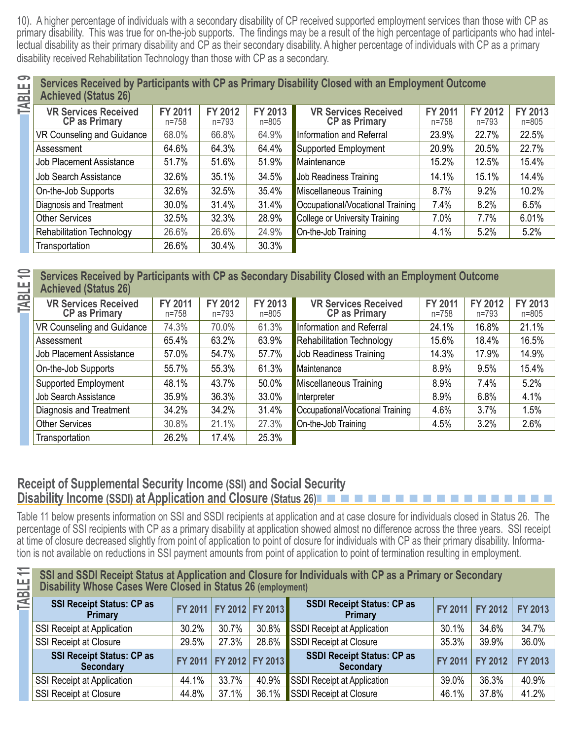10). A higher percentage of individuals with a secondary disability of CP received supported employment services than those with CP as primary disability. This was true for on-the-job supports. The findings may be a result of the high percentage of participants who had intellectual disability as their primary disability and CP as their secondary disability. A higher percentage of individuals with CP as a primary disability received Rehabilitation Technology than those with CP as a secondary.

| Achieved (Status 26)                                              |  | Services Received by Participants with CP as Primary Disability Closed with an Employment Outcome |                      |  |
|-------------------------------------------------------------------|--|---------------------------------------------------------------------------------------------------|----------------------|--|
| VR Services Received FY 2011 FY 2012 FY 2013 VR Services Received |  |                                                                                                   | $\vert$ FY 2011 FY 2 |  |

| <b>VR Services Received</b><br><b>CP as Primary</b> | <b>FY 2011</b><br>$n = 758$ | FY 2012<br>$n = 793$ | FY 2013<br>$n = 805$ | <b>VR Services Received</b><br><b>CP as Primary</b> | <b>FY 2011</b><br>$n = 758$ | FY 2012<br>$n = 793$ | <b>FY 2013</b><br>$n = 805$ |
|-----------------------------------------------------|-----------------------------|----------------------|----------------------|-----------------------------------------------------|-----------------------------|----------------------|-----------------------------|
| VR Counseling and Guidance                          | 68.0%                       | 66.8%                | 64.9%                | Information and Referral                            | 23.9%                       | 22.7%                | 22.5%                       |
| Assessment                                          | 64.6%                       | 64.3%                | 64.4%                | <b>Supported Employment</b>                         | 20.9%                       | 20.5%                | 22.7%                       |
| <b>Job Placement Assistance</b>                     | 51.7%                       | 51.6%                | 51.9%                | Maintenance                                         | 15.2%                       | 12.5%                | 15.4%                       |
| <b>Job Search Assistance</b>                        | 32.6%                       | 35.1%                | 34.5%                | Job Readiness Training                              | 14.1%                       | 15.1%                | 14.4%                       |
| On-the-Job Supports                                 | 32.6%                       | 32.5%                | 35.4%                | Miscellaneous Training                              | 8.7%                        | 9.2%                 | 10.2%                       |
| Diagnosis and Treatment                             | 30.0%                       | 31.4%                | 31.4%                | Occupational/Vocational Training                    | 7.4%                        | 8.2%                 | 6.5%                        |
| <b>Other Services</b>                               | 32.5%                       | 32.3%                | 28.9%                | <b>College or University Training</b>               | 7.0%                        | 7.7%                 | 6.01%                       |
| <b>Rehabilitation Technology</b>                    | 26.6%                       | 26.6%                | 24.9%                | On-the-Job Training                                 | 4.1%                        | 5.2%                 | 5.2%                        |
| Transportation                                      | 26.6%                       | 30.4%                | 30.3%                |                                                     |                             |                      |                             |

# Services Received by Participants with CP as Secondary Disability Closed with an Employment Outcome<br>
Achieved (Status 26)<br>
VR Services Received | FY 2011 | FY 2012 | FY 2013 | VR Services Received | FY 2011 | FY 2012 **Achieved (Status 26)**

| <b>VR Services Received</b><br><b>CP as Primary</b> | FY 2011<br>$n = 758$ | FY 2012<br>$n = 793$ | FY 2013<br>$n = 805$ | <b>VR Services Received</b><br><b>CP as Primary</b> | <b>FY 2011</b><br>n=758 | FY 2012<br>$n = 793$ | FY 2013<br>$n = 805$ |
|-----------------------------------------------------|----------------------|----------------------|----------------------|-----------------------------------------------------|-------------------------|----------------------|----------------------|
| VR Counseling and Guidance                          | 74.3%                | 70.0%                | 61.3%                | Information and Referral                            | 24.1%                   | 16.8%                | 21.1%                |
| Assessment                                          | 65.4%                | 63.2%                | 63.9%                | <b>Rehabilitation Technology</b>                    | 15.6%                   | 18.4%                | 16.5%                |
| <b>Job Placement Assistance</b>                     | 57.0%                | 54.7%                | 57.7%                | Job Readiness Training                              | 14.3%                   | 17.9%                | 14.9%                |
| On-the-Job Supports                                 | 55.7%                | 55.3%                | 61.3%                | Maintenance                                         | 8.9%                    | 9.5%                 | 15.4%                |
| <b>Supported Employment</b>                         | 48.1%                | 43.7%                | 50.0%                | Miscellaneous Training                              | 8.9%                    | 7.4%                 | 5.2%                 |
| Job Search Assistance                               | 35.9%                | 36.3%                | 33.0%                | Interpreter                                         | 8.9%                    | 6.8%                 | 4.1%                 |
| Diagnosis and Treatment                             | 34.2%                | 34.2%                | 31.4%                | Occupational/Vocational Training                    | 4.6%                    | 3.7%                 | 1.5%                 |
| <b>Other Services</b>                               | 30.8%                | 21.1%                | 27.3%                | On-the-Job Training                                 | 4.5%                    | 3.2%                 | 2.6%                 |
| Transportation                                      | 26.2%                | 17.4%                | 25.3%                |                                                     |                         |                      |                      |

#### **Receipt of Supplemental Security Income (SSI) and Social Security Disability Income (SSDI) at Application and Closure (Status 26)<b>n n n n n n n n n**

 Table 11 below presents information on SSI and SSDI recipients at application and at case closure for individuals closed in Status 26. The percentage of SSI recipients with CP as a primary disability at application showed almost no difference across the three years. SSI receipt at time of closure decreased slightly from point of application to point of closure for individuals with CP as their primary disability. Information is not available on reductions in SSI payment amounts from point of application to point of termination resulting in employment.

| ≂<br>TABLE | SSI and SSDI Receipt Status at Application and Closure for Individuals with CP as a Primary or Secondary Disability Whose Cases Were Closed in Status 26 (employment) |                             |       |                             |                                                       |         |                 |         |
|------------|-----------------------------------------------------------------------------------------------------------------------------------------------------------------------|-----------------------------|-------|-----------------------------|-------------------------------------------------------|---------|-----------------|---------|
|            | <b>SSI Receipt Status: CP as</b><br><b>Primary</b>                                                                                                                    | FY 2011   FY 2012   FY 2013 |       |                             | <b>SSDI Receipt Status: CP as</b><br>Primary          |         | FY 2011 FY 2012 | FY 2013 |
|            | SSI Receipt at Application                                                                                                                                            | 30.2%                       | 30.7% | 30.8%                       | SSDI Receipt at Application                           | 30.1%   | 34.6%           | 34.7%   |
|            | <b>SSI Receipt at Closure</b>                                                                                                                                         | 29.5%                       | 27.3% | 28.6%                       | SSDI Receipt at Closure                               | 35.3%   | 39.9%           | 36.0%   |
|            | <b>SSI Receipt Status: CP as</b><br><b>Secondary</b>                                                                                                                  |                             |       | FY 2011   FY 2012   FY 2013 | <b>SSDI Receipt Status: CP as</b><br><b>Secondary</b> | FY 2011 | <b>FY 2012</b>  | FY 2013 |
|            | SSI Receipt at Application                                                                                                                                            | 44.1%                       | 33.7% | 40.9%                       | SSDI Receipt at Application                           | 39.0%   | 36.3%           | 40.9%   |
|            | <b>SSI Receipt at Closure</b>                                                                                                                                         | 44.8%                       | 37.1% | 36.1%                       | SSDI Receipt at Closure                               | 46.1%   | 37.8%           | 41.2%   |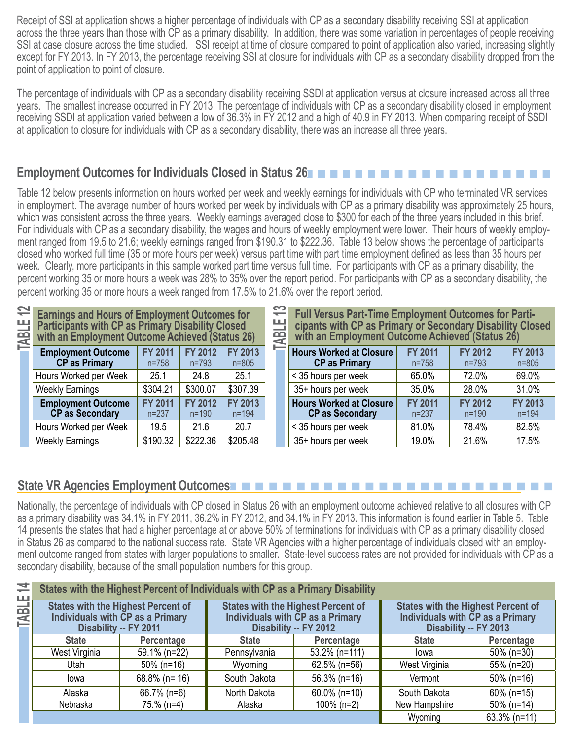Receipt of SSI at application shows a higher percentage of individuals with CP as a secondary disability receiving SSI at application across the three years than those with CP as a primary disability. In addition, there was some variation in percentages of people receiving SSI at case closure across the time studied. SSI receipt at time of closure compared to point of application also varied, increasing slightly except for FY 2013. In FY 2013, the percentage receiving SSI at closure for individuals with CP as a secondary disability dropped from the point of application to point of closure.

The percentage of individuals with CP as a secondary disability receiving SSDI at application versus at closure increased across all three years. The smallest increase occurred in FY 2013. The percentage of individuals with CP as a secondary disability closed in employment receiving SSDI at application varied between a low of 36.3% in FY 2012 and a high of 40.9 in FY 2013. When comparing receipt of SSDI at application to closure for individuals with CP as a secondary disability, there was an increase all three years.

## **Employment Outcomes for Individuals Closed in Status 26**n n n n n n n n n n n n n n n n n n n

Table 12 below presents information on hours worked per week and weekly earnings for individuals with CP who terminated VR services in employment. The average number of hours worked per week by individuals with CP as a primary disability was approximately 25 hours, which was consistent across the three years. Weekly earnings averaged close to \$300 for each of the three years included in this brief. For individuals with CP as a secondary disability, the wages and hours of weekly employment were lower. Their hours of weekly employment ranged from 19.5 to 21.6; weekly earnings ranged from \$190.31 to \$222.36. Table 13 below shows the percentage of participants closed who worked full time (35 or more hours per week) versus part time with part time employment defined as less than 35 hours per week. Clearly, more participants in this sample worked part time versus full time. For participants with CP as a primary disability, the percent working 35 or more hours a week was 28% to 35% over the report period. For participants with CP as a secondary disability, the percent working 35 or more hours a week ranged from 17.5% to 21.6% over the report period.

**Earnings and Hours of Employment Outcomes for Participants with CP as Primary Disability Closed with an Employment Outcome Achieved (Status 26) Employment Outcome FY 2011 FY 2012 FY 2013** 

| <b>CP</b> as Primary                         | $n = 758$                   | $n = 793$                   | $n = 805$                   |
|----------------------------------------------|-----------------------------|-----------------------------|-----------------------------|
| Hours Worked per Week                        | 25.1                        | 24.8                        | 25.1                        |
| <b>Weekly Earnings</b>                       | \$304.21                    | \$300.07                    | \$307.39                    |
| <b>Employment Outcome</b><br>CP as Secondary | <b>FY 2011</b><br>$n = 237$ | <b>FY 2012</b><br>$n = 190$ | <b>FY 2013</b><br>$n = 194$ |
| Hours Worked per Week                        | 19.5                        | 21.6                        | 20.7                        |
| <b>Weekly Earnings</b>                       | \$190.32                    | \$222.36                    | \$205.48                    |

**TABLE 13 <b>Full Versus Part-Time Employment Outcomes for Parti-**<br>
cipants with CP as Primary or Secondary Disability Closed<br>
with an Employment Outcome Achieved (Status 26) **with an Employment Outcome Achieved (Status 26)** 

| <b>Hours Worked at Closure</b><br><b>CP as Primary</b>   | <b>FY 2011</b><br>$n = 758$ | FY 2012<br>$n = 793$        | <b>FY 2013</b><br>$n = 805$ |
|----------------------------------------------------------|-----------------------------|-----------------------------|-----------------------------|
| < 35 hours per week                                      | 65.0%                       | 72.0%                       | 69.0%                       |
| 35+ hours per week                                       | 35.0%                       | 28.0%                       | 31.0%                       |
| <b>Hours Worked at Closure</b><br><b>CP as Secondary</b> | <b>FY 2011</b><br>$n = 237$ | <b>FY 2012</b><br>$n = 190$ | <b>FY 2013</b><br>$n = 194$ |
| < 35 hours per week                                      | 81.0%                       | 78.4%                       | 82.5%                       |
| 35+ hours per week                                       | 19.0%                       | 21.6%                       | 17.5%                       |

#### **State VR Agencies Employment Outcomes**n n n n n n n n n n n n n n n n n n n n n n n n

Nationally, the percentage of individuals with CP closed in Status 26 with an employment outcome achieved relative to all closures with CP as a primary disability was 34.1% in FY 2011, 36.2% in FY 2012, and 34.1% in FY 2013. This information is found earlier in Table 5. Table 14 presents the states that had a higher percentage at or above 50% of terminations for individuals with CP as a primary disability closed in Status 26 as compared to the national success rate. State VR Agencies with a higher percentage of individuals closed with an employment outcome ranged from states with larger populations to smaller. State-level success rates are not provided for individuals with CP as a secondary disability, because of the small population numbers for this group.

| 14<br><b>TABLE</b> | States with the Highest Percent of Individuals with CP as a Primary Disability                         |                  |                                                                                                        |                 |                                                                                                        |                 |  |
|--------------------|--------------------------------------------------------------------------------------------------------|------------------|--------------------------------------------------------------------------------------------------------|-----------------|--------------------------------------------------------------------------------------------------------|-----------------|--|
|                    | <b>States with the Highest Percent of</b><br>Individuals with CP as a Primary<br>Disability -- FY 2011 |                  | <b>States with the Highest Percent of</b><br>Individuals with CP as a Primary<br>Disability -- FY 2012 |                 | <b>States with the Highest Percent of</b><br>Individuals with CP as a Primary<br>Disability -- FY 2013 |                 |  |
|                    | <b>State</b>                                                                                           | Percentage       | <b>State</b>                                                                                           | Percentage      | <b>State</b>                                                                                           | Percentage      |  |
|                    | West Virginia                                                                                          | 59.1% (n=22)     | Pennsylvania                                                                                           | 53.2% (n=111)   | lowa                                                                                                   | $50\%$ (n=30)   |  |
|                    | Utah                                                                                                   | $50\%$ (n=16)    | Wyoming                                                                                                | $62.5\%$ (n=56) | West Virginia                                                                                          | 55% (n=20)      |  |
|                    | lowa                                                                                                   | $68.8\%$ (n= 16) | South Dakota                                                                                           | $56.3\%$ (n=16) | Vermont                                                                                                | $50\%$ (n=16)   |  |
|                    | Alaska                                                                                                 | 66.7% (n=6)      | North Dakota                                                                                           | $60.0\%$ (n=10) | South Dakota                                                                                           | $60\%$ (n=15)   |  |
|                    | Nebraska                                                                                               | 75.% (n=4)       | Alaska                                                                                                 | $100\%$ (n=2)   | New Hampshire                                                                                          | $50\%$ (n=14)   |  |
|                    |                                                                                                        |                  |                                                                                                        |                 | Wyoming                                                                                                | $63.3\%$ (n=11) |  |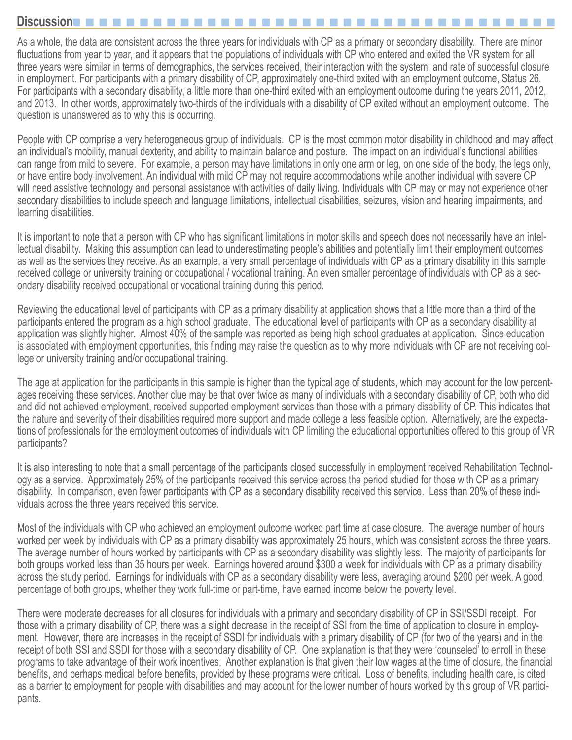#### **Discussion**n n n n n n n n n n n n n n n n n n n n n n n n n n n n n n n n n n n n

As a whole, the data are consistent across the three years for individuals with CP as a primary or secondary disability. There are minor fluctuations from year to year, and it appears that the populations of individuals with CP who entered and exited the VR system for all three years were similar in terms of demographics, the services received, their interaction with the system, and rate of successful closure in employment. For participants with a primary disability of CP, approximately one-third exited with an employment outcome, Status 26. For participants with a secondary disability, a little more than one-third exited with an employment outcome during the years 2011, 2012, and 2013. In other words, approximately two-thirds of the individuals with a disability of CP exited without an employment outcome. The question is unanswered as to why this is occurring.

People with CP comprise a very heterogeneous group of individuals. CP is the most common motor disability in childhood and may affect an individual's mobility, manual dexterity, and ability to maintain balance and posture. The impact on an individual's functional abilities can range from mild to severe. For example, a person may have limitations in only one arm or leg, on one side of the body, the legs only, or have entire body involvement. An individual with mild CP may not require accommodations while another individual with severe CP will need assistive technology and personal assistance with activities of daily living. Individuals with CP may or may not experience other secondary disabilities to include speech and language limitations, intellectual disabilities, seizures, vision and hearing impairments, and learning disabilities.

It is important to note that a person with CP who has significant limitations in motor skills and speech does not necessarily have an intellectual disability. Making this assumption can lead to underestimating people's abilities and potentially limit their employment outcomes as well as the services they receive. As an example, a very small percentage of individuals with CP as a primary disability in this sample received college or university training or occupational / vocational training. An even smaller percentage of individuals with CP as a secondary disability received occupational or vocational training during this period.

Reviewing the educational level of participants with CP as a primary disability at application shows that a little more than a third of the participants entered the program as a high school graduate. The educational level of participants with CP as a secondary disability at application was slightly higher. Almost 40% of the sample was reported as being high school graduates at application. Since education is associated with employment opportunities, this finding may raise the question as to why more individuals with CP are not receiving college or university training and/or occupational training.

The age at application for the participants in this sample is higher than the typical age of students, which may account for the low percentages receiving these services. Another clue may be that over twice as many of individuals with a secondary disability of CP, both who did and did not achieved employment, received supported employment services than those with a primary disability of CP. This indicates that the nature and severity of their disabilities required more support and made college a less feasible option. Alternatively, are the expectations of professionals for the employment outcomes of individuals with CP limiting the educational opportunities offered to this group of VR participants?

It is also interesting to note that a small percentage of the participants closed successfully in employment received Rehabilitation Technology as a service. Approximately 25% of the participants received this service across the period studied for those with CP as a primary disability. In comparison, even fewer participants with CP as a secondary disability received this service. Less than 20% of these individuals across the three years received this service.

Most of the individuals with CP who achieved an employment outcome worked part time at case closure. The average number of hours worked per week by individuals with CP as a primary disability was approximately 25 hours, which was consistent across the three years. The average number of hours worked by participants with CP as a secondary disability was slightly less. The majority of participants for both groups worked less than 35 hours per week. Earnings hovered around \$300 a week for individuals with CP as a primary disability across the study period. Earnings for individuals with CP as a secondary disability were less, averaging around \$200 per week. A good percentage of both groups, whether they work full-time or part-time, have earned income below the poverty level.

There were moderate decreases for all closures for individuals with a primary and secondary disability of CP in SSI/SSDI receipt. For those with a primary disability of CP, there was a slight decrease in the receipt of SSI from the time of application to closure in employment. However, there are increases in the receipt of SSDI for individuals with a primary disability of CP (for two of the years) and in the receipt of both SSI and SSDI for those with a secondary disability of CP. One explanation is that they were 'counseled' to enroll in these programs to take advantage of their work incentives. Another explanation is that given their low wages at the time of closure, the financial benefits, and perhaps medical before benefits, provided by these programs were critical. Loss of benefits, including health care, is cited as a barrier to employment for people with disabilities and may account for the lower number of hours worked by this group of VR participants.